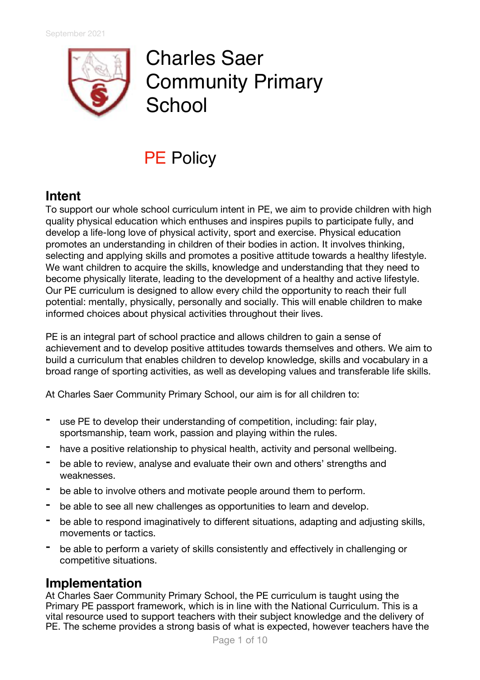

# Charles Saer Community Primary **School**

**PE Policy** 

# **Intent**

To support our whole school curriculum intent in PE, we aim to provide children with high quality physical education which enthuses and inspires pupils to participate fully, and develop a life-long love of physical activity, sport and exercise. Physical education promotes an understanding in children of their bodies in action. It involves thinking, selecting and applying skills and promotes a positive attitude towards a healthy lifestyle. We want children to acquire the skills, knowledge and understanding that they need to become physically literate, leading to the development of a healthy and active lifestyle. Our PE curriculum is designed to allow every child the opportunity to reach their full potential: mentally, physically, personally and socially. This will enable children to make informed choices about physical activities throughout their lives.

PE is an integral part of school practice and allows children to gain a sense of achievement and to develop positive attitudes towards themselves and others. We aim to build a curriculum that enables children to develop knowledge, skills and vocabulary in a broad range of sporting activities, as well as developing values and transferable life skills.

At Charles Saer Community Primary School, our aim is for all children to:

- **-** use PE to develop their understanding of competition, including: fair play, sportsmanship, team work, passion and playing within the rules.
- **-** have a positive relationship to physical health, activity and personal wellbeing.
- **-** be able to review, analyse and evaluate their own and others' strengths and weaknesses.
- **-** be able to involve others and motivate people around them to perform.
- **-** be able to see all new challenges as opportunities to learn and develop.
- **-** be able to respond imaginatively to different situations, adapting and adjusting skills, movements or tactics.
- **-** be able to perform a variety of skills consistently and effectively in challenging or competitive situations.

# **Implementation**

At Charles Saer Community Primary School, the PE curriculum is taught using the Primary PE passport framework, which is in line with the National Curriculum. This is a vital resource used to support teachers with their subject knowledge and the delivery of PE. The scheme provides a strong basis of what is expected, however teachers have the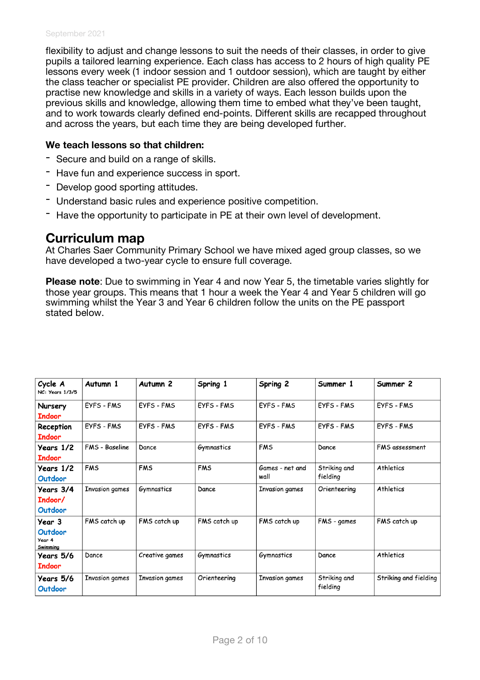#### September 2021

flexibility to adjust and change lessons to suit the needs of their classes, in order to give pupils a tailored learning experience. Each class has access to 2 hours of high quality PE lessons every week (1 indoor session and 1 outdoor session), which are taught by either the class teacher or specialist PE provider. Children are also offered the opportunity to practise new knowledge and skills in a variety of ways. Each lesson builds upon the previous skills and knowledge, allowing them time to embed what they've been taught, and to work towards clearly defined end-points. Different skills are recapped throughout and across the years, but each time they are being developed further.

#### **We teach lessons so that children:**

- Secure and build on a range of skills.
- Have fun and experience success in sport.
- Develop good sporting attitudes.
- Understand basic rules and experience positive competition.
- Have the opportunity to participate in PE at their own level of development.

### **Curriculum map**

At Charles Saer Community Primary School we have mixed aged group classes, so we have developed a two-year cycle to ensure full coverage.

**Please note**: Due to swimming in Year 4 and now Year 5, the timetable varies slightly for those year groups. This means that 1 hour a week the Year 4 and Year 5 children will go swimming whilst the Year 3 and Year 6 children follow the units on the PE passport stated below.

| Cycle A<br>NC: Years 1/3/5              | Autumn 1       | Autumn <sub>2</sub>   | Spring 1     | Spring 2                | Summer 1                 | Summer 2              |
|-----------------------------------------|----------------|-----------------------|--------------|-------------------------|--------------------------|-----------------------|
| Nursery<br><b>Indoor</b>                | EYFS - FMS     | EYFS - FMS            | EYFS - FMS   | EYFS - FMS              | EYFS - FMS               | EYFS - FMS            |
| Reception<br><b>Indoor</b>              | EYFS - FMS     | EYFS - FMS            | EYFS - FMS   | EYFS - FMS              | EYFS - FMS               | EYFS - FMS            |
| Years 1/2<br>Indoor                     | FMS - Baseline | Dance                 | Gymnastics   | <b>FMS</b>              | Dance                    | FMS assessment        |
| Years 1/2<br>Outdoor                    | <b>FMS</b>     | <b>FMS</b>            | <b>FMS</b>   | Games - net and<br>wall | Striking and<br>fielding | Athletics             |
| Years 3/4<br>Indoor/<br>Outdoor         | Invasion games | Gymnastics            | Dance        | Invasion games          | Orienteering             | Athletics             |
| Year 3<br>Outdoor<br>Year 4<br>Swimming | FMS catch up   | FMS catch up          | FMS catch up | FMS catch up            | FMS - games              | FMS catch up          |
| Years 5/6<br>Indoor                     | Dance          | Creative games        | Gymnastics   | Gymnastics              | Dance                    | Athletics             |
| Years 5/6<br>Outdoor                    | Invasion games | <b>Invasion games</b> | Orienteering | Invasion games          | Striking and<br>fielding | Striking and fielding |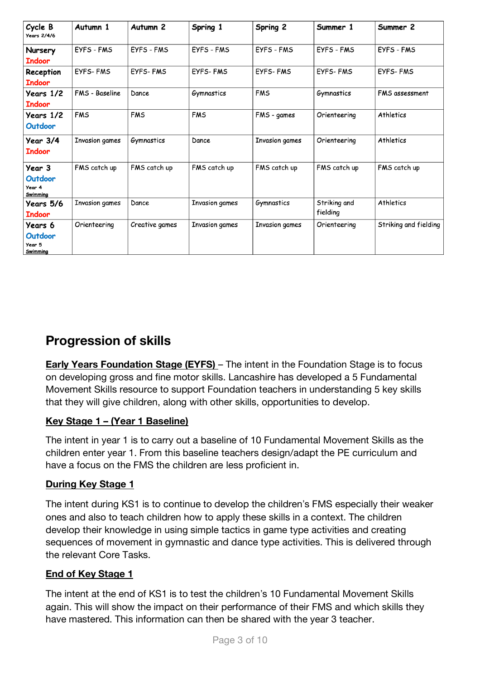| Cycle B<br><b>Years 2/4/6</b>                   | Autumn 1              | Autumn <sub>2</sub> | Spring 1              | Spring 2              | Summer 1                 | Summer 2              |
|-------------------------------------------------|-----------------------|---------------------|-----------------------|-----------------------|--------------------------|-----------------------|
| Nursery<br><b>Indoor</b>                        | EYFS - FMS            | EYFS - FMS          | EYFS - FMS            | EYFS - FMS            | EYFS - FMS               | EYFS - FMS            |
| Reception<br><b>Indoor</b>                      | <b>EYFS-FMS</b>       | <b>EYFS-FMS</b>     | <b>EYFS-FMS</b>       | <b>EYFS-FMS</b>       | <b>EYFS-FMS</b>          | <b>EYFS-FMS</b>       |
| <b>Years 1/2</b><br>Indoor                      | FMS - Baseline        | Dance               | Gymnastics            | <b>FMS</b>            | Gymnastics               | <b>FMS</b> assessment |
| <b>Years 1/2</b><br>Outdoor                     | <b>FMS</b>            | <b>FMS</b>          | <b>FMS</b>            | FMS - games           | Orienteering             | Athletics             |
| <b>Year 3/4</b><br><b>Indoor</b>                | <b>Invasion games</b> | Gymnastics          | Dance                 | Invasion games        | Orienteering             | Athletics             |
| Year 3<br>Outdoor<br>Year 4<br>Swimming         | FMS catch up          | FMS catch up        | FMS catch up          | FMS catch up          | FMS catch up             | FMS catch up          |
| Years 5/6<br><b>Indoor</b>                      | <b>Invasion games</b> | Dance               | Invasion games        | Gymnastics            | Striking and<br>fielding | Athletics             |
| <b>Years 6</b><br>Outdoor<br>Year 5<br>Swimming | Orienteering          | Creative games      | <b>Invasion games</b> | <b>Invasion games</b> | Orienteering             | Striking and fielding |

# **Progression of skills**

**Early Years Foundation Stage (EYFS)** – The intent in the Foundation Stage is to focus on developing gross and fine motor skills. Lancashire has developed a 5 Fundamental Movement Skills resource to support Foundation teachers in understanding 5 key skills that they will give children, along with other skills, opportunities to develop.

### **Key Stage 1 – (Year 1 Baseline)**

The intent in year 1 is to carry out a baseline of 10 Fundamental Movement Skills as the children enter year 1. From this baseline teachers design/adapt the PE curriculum and have a focus on the FMS the children are less proficient in.

### **During Key Stage 1**

The intent during KS1 is to continue to develop the children's FMS especially their weaker ones and also to teach children how to apply these skills in a context. The children develop their knowledge in using simple tactics in game type activities and creating sequences of movement in gymnastic and dance type activities. This is delivered through the relevant Core Tasks.

### **End of Key Stage 1**

The intent at the end of KS1 is to test the children's 10 Fundamental Movement Skills again. This will show the impact on their performance of their FMS and which skills they have mastered. This information can then be shared with the year 3 teacher.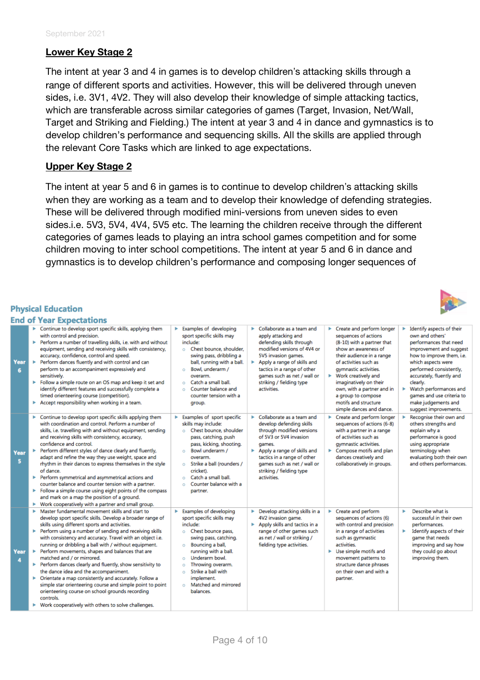#### September 2021

#### **Lower Key Stage 2**

The intent at year 3 and 4 in games is to develop children's attacking skills through a range of different sports and activities. However, this will be delivered through uneven sides, i.e. 3V1, 4V2. They will also develop their knowledge of simple attacking tactics, which are transferable across similar categories of games (Target, Invasion, Net/Wall, Target and Striking and Fielding.) The intent at year 3 and 4 in dance and gymnastics is to develop children's performance and sequencing skills. All the skills are applied through the relevant Core Tasks which are linked to age expectations.

#### **Upper Key Stage 2**

The intent at year 5 and 6 in games is to continue to develop children's attacking skills when they are working as a team and to develop their knowledge of defending strategies. These will be delivered through modified mini-versions from uneven sides to even sides.i.e. 5V3, 5V4, 4V4, 5V5 etc. The learning the children receive through the different categories of games leads to playing an intra school games competition and for some children moving to inter school competitions. The intent at year 5 and 6 in dance and gymnastics is to develop children's performance and composing longer sequences of

#### **Physical Education**

#### **End of Year Expectations**

| Year<br>6 | Continue to develop sport specific skills, applying them<br>with control and precision.<br>Perform a number of travelling skills, i.e. with and without<br>ь<br>equipment, sending and receiving skills with consistency,<br>accuracy, confidence, control and speed.<br>Perform dances fluently and with control and can<br>Þ<br>perform to an accompaniment expressively and<br>sensitively.<br>Follow a simple route on an OS map and keep it set and<br>ь<br>identify different features and successfully complete a<br>timed orienteering course (competition).<br>Accept responsibility when working in a team.<br>Þ                                                                                                                                                                                 | Examples of developing<br>ь<br>sport specific skills may<br>include:<br>Chest bounce, shoulder,<br>$\circ$<br>swing pass, dribbling a<br>ball, running with a ball.<br>Bowl, underarm /<br>Ō<br>overarm.<br>Catch a small ball.<br>$\circ$<br>Counter balance and<br>counter tension with a<br>group. | Collaborate as a team and<br>apply attacking and<br>defending skills through<br>modified versions of 4V4 or<br>5V5 invasion games.<br>Apply a range of skills and<br>tactics in a range of other<br>games such as net / wall or<br>striking / fielding type<br>activities.           | Create and perform longer<br>sequences of actions<br>(8-10) with a partner that<br>show an awareness of<br>their audience in a range<br>of activities such as<br>gymnastic activities.<br>Work creatively and<br>imaginatively on their<br>own, with a partner and in<br>a group to compose<br>motifs and structure | Identify aspects of their<br>own and others'<br>performances that need<br>improvement and suggest<br>how to improve them, i.e.<br>which aspects were<br>performed consistently,<br>accurately, fluently and<br>clearly.<br>Watch performances and<br>games and use criteria to<br>make judgements and |
|-----------|------------------------------------------------------------------------------------------------------------------------------------------------------------------------------------------------------------------------------------------------------------------------------------------------------------------------------------------------------------------------------------------------------------------------------------------------------------------------------------------------------------------------------------------------------------------------------------------------------------------------------------------------------------------------------------------------------------------------------------------------------------------------------------------------------------|-------------------------------------------------------------------------------------------------------------------------------------------------------------------------------------------------------------------------------------------------------------------------------------------------------|--------------------------------------------------------------------------------------------------------------------------------------------------------------------------------------------------------------------------------------------------------------------------------------|---------------------------------------------------------------------------------------------------------------------------------------------------------------------------------------------------------------------------------------------------------------------------------------------------------------------|-------------------------------------------------------------------------------------------------------------------------------------------------------------------------------------------------------------------------------------------------------------------------------------------------------|
| Year<br>5 | Continue to develop sport specific skills applying them<br>Þ.<br>with coordination and control. Perform a number of<br>skills, i.e. travelling with and without equipment, sending<br>and receiving skills with consistency, accuracy,<br>confidence and control.<br>Perform different styles of dance clearly and fluently,<br>Þ<br>adapt and refine the way they use weight, space and<br>rhythm in their dances to express themselves in the style<br>of dance.<br>Perform symmetrical and asymmetrical actions and<br>counter balance and counter tension with a partner.<br>Follow a simple course using eight points of the compass<br>▶<br>and mark on a map the position of a ground.<br>> Work cooperatively with a partner and small group.                                                      | Examples of sport specific<br>skills may include:<br>Chest bounce, shoulder<br>pass, catching, push<br>pass, kicking, shooting.<br>Bowl underarm /<br>ö<br>overarm.<br>Strike a ball (rounders /<br>$\circ$<br>cricket).<br>Catch a small ball.<br>Counter balance with a<br>partner.                 | Collaborate as a team and<br>develop defending skills<br>through modified versions<br>of 5V3 or 5V4 invasion<br>games.<br>$\blacktriangleright$ Apply a range of skills and<br>tactics in a range of other<br>games such as net / wall or<br>striking / fielding type<br>activities. | simple dances and dance.<br>Create and perform longer<br>sequences of actions (6-8)<br>with a partner in a range<br>of activities such as<br>gymnastic activities.<br>Compose motifs and plan<br>dances creatively and<br>collaboratively in groups.                                                                | suggest improvements.<br>Recognise their own and<br>others strengths and<br>explain why a<br>performance is good<br>using appropriate<br>terminology when<br>evaluating both their own<br>and others performances.                                                                                    |
| Year<br>4 | Master fundamental movement skills and start to<br>ь<br>develop sport specific skills. Develop a broader range of<br>skills using different sports and activities.<br>Perform using a number of sending and receiving skills<br>Þ<br>with consistency and accuracy. Travel with an object i.e.<br>running or dribbling a ball with / without equipment.<br>Perform movements, shapes and balances that are<br>Þ<br>matched and / or mirrored.<br>Perform dances clearly and fluently, show sensitivity to<br>the dance idea and the accompaniment.<br>Orientate a map consistently and accurately. Follow a<br>Þ.<br>simple star orienteering course and simple point to point<br>orienteering course on school grounds recording<br>controls.<br>Work cooperatively with others to solve challenges.<br>ь | Examples of developing<br>sport specific skills may<br>include:<br>Chest bounce pass,<br>$\circ$<br>swing pass, catching.<br>Bouncing a ball,<br>ó<br>running with a ball.<br>Underarm bowl.<br>Throwing overarm.<br>Strike a ball with<br>implement.<br>Matched and mirrored<br>$\circ$<br>balances. | $\blacktriangleright$ Develop attacking skills in a<br>4V2 invasion game.<br>Apply skills and tactics in a<br>range of other games such<br>as net / wall or striking /<br>fielding type activities.                                                                                  | Create and perform<br>ь<br>sequences of actions (6)<br>with control and precision<br>in a range of activities<br>such as gymnastic<br>activities.<br>Use simple motifs and<br>movement patterns to<br>structure dance phrases<br>on their own and with a<br>partner.                                                | Describe what is<br>successful in their own<br>performances.<br>Identify aspects of their<br>game that needs<br>improving and say how<br>they could go about<br>improving them.                                                                                                                       |

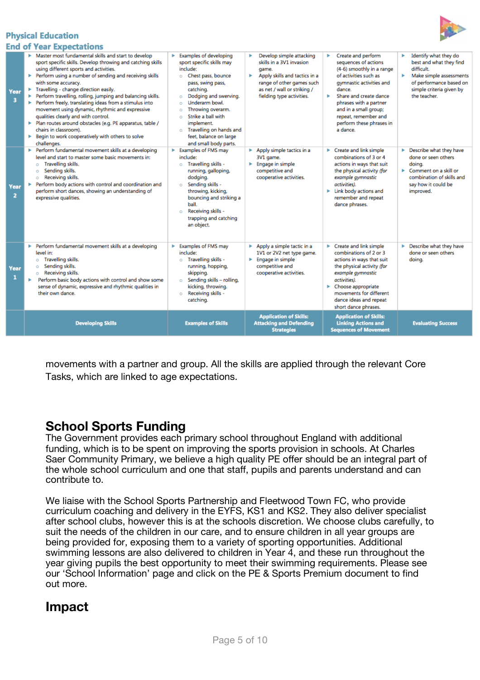

#### **Physical Education**

| <b>End of Year Expectations</b> |  |
|---------------------------------|--|
|---------------------------------|--|

|          | <b>Developing Skills</b>                                                                                                                                                                                                                                                                                                                                                                                                                                                                                                                                                                                                                                                        | <b>Examples of Skills</b>                                                                                                                                                                                                                                                                                                                                  | <b>Application of Skills:</b><br><b>Attacking and Defending</b><br><b>Strategies</b>                                                                                                              | <b>Application of Skills:</b><br><b>Linking Actions and</b><br><b>Sequences of Movement</b>                                                                                                                                                                                              | <b>Evaluating Success</b>                                                                                                                                                  |
|----------|---------------------------------------------------------------------------------------------------------------------------------------------------------------------------------------------------------------------------------------------------------------------------------------------------------------------------------------------------------------------------------------------------------------------------------------------------------------------------------------------------------------------------------------------------------------------------------------------------------------------------------------------------------------------------------|------------------------------------------------------------------------------------------------------------------------------------------------------------------------------------------------------------------------------------------------------------------------------------------------------------------------------------------------------------|---------------------------------------------------------------------------------------------------------------------------------------------------------------------------------------------------|------------------------------------------------------------------------------------------------------------------------------------------------------------------------------------------------------------------------------------------------------------------------------------------|----------------------------------------------------------------------------------------------------------------------------------------------------------------------------|
| ear<br>1 | Perform fundamental movement skills at a developing<br>ь<br>level in:<br>Travelling skills.<br>Sending skills.<br>Receiving skills.<br>Ō<br>Perform basic body actions with control and show some<br>ь<br>sense of dynamic, expressive and rhythmic qualities in<br>their own dance.                                                                                                                                                                                                                                                                                                                                                                                            | Examples of FMS may<br>Þ.<br>include:<br>Travelling skills -<br>$\circ$<br>running, hopping,<br>skipping.<br>Sending skills - rolling,<br>$\circ$<br>kicking, throwing.<br>Receiving skills -<br>$\circ$<br>catching.                                                                                                                                      | Apply a simple tactic in a<br>1V1 or 2V2 net type game.<br>Engage in simple<br>Þ<br>competitive and<br>cooperative activities.                                                                    | Create and link simple<br>Þ.<br>combinations of 2 or 3<br>actions in ways that suit<br>the physical activity (for<br>example gymnastic<br>activities).<br>Choose appropriate<br>۰.<br>movements for different<br>dance ideas and repeat<br>short dance phrases.                          | Describe what they have<br>Þ<br>done or seen others<br>doing.                                                                                                              |
| ear<br>2 | Perform fundamental movement skills at a developing<br>level and start to master some basic movements in:<br>Travelling skills.<br>۰<br>Sending skills.<br>$\circ$<br>Receiving skills.<br>٥<br>Perform body actions with control and coordination and<br>ь<br>perform short dances, showing an understanding of<br>expressive qualities.                                                                                                                                                                                                                                                                                                                                       | Examples of FMS may<br>ь<br>include:<br>Travelling skills -<br>o<br>running, galloping,<br>dodging.<br>Sending skills -<br>Ō.<br>throwing, kicking,<br>bouncing and striking a<br>ball.<br>Receiving skills -<br>۰<br>trapping and catching<br>an object.                                                                                                  | Apply simple tactics in a<br>ь<br>3V1 game.<br>Engage in simple<br>Þ<br>competitive and<br>cooperative activities.                                                                                | Create and link simple<br>Þ.<br>combinations of 3 or 4<br>actions in ways that suit<br>the physical activity (for<br>example gymnastic<br>activities).<br>Link body actions and<br>ь<br>remember and repeat<br>dance phrases.                                                            | Describe what they have<br>ь<br>done or seen others<br>doing.<br>Comment on a skill or<br>ь<br>combination of skills and<br>say how it could be<br>improved.               |
| ear<br>3 | Master most fundamental skills and start to develop<br>sport specific skills. Develop throwing and catching skills<br>using different sports and activities.<br>Perform using a number of sending and receiving skills<br>with some accuracy.<br>Travelling - change direction easily.<br>►<br>Perform travelling, rolling, jumping and balancing skills.<br>Perform freely, translating ideas from a stimulus into<br>ь<br>movement using dynamic, rhythmic and expressive<br>qualities clearly and with control.<br>Plan routes around obstacles (e.g. PE apparatus, table /<br>chairs in classroom).<br>Begin to work cooperatively with others to solve<br>Þ<br>challenges. | <b>Examples of developing</b><br>Þ.<br>sport specific skills may<br>include:<br>Chest pass, bounce<br>ö<br>pass, swing pass,<br>catching.<br>Dodging and swerving.<br>ö<br>Underarm bowl.<br>ö<br>Throwing overarm.<br>ö<br>Strike a ball with<br>$\circ$<br>implement.<br>Travelling on hands and<br>o<br>feet, balance on large<br>and small body parts. | Develop simple attacking<br>Þ<br>skills in a 3V1 invasion<br>game.<br>Apply skills and tactics in a<br>ь<br>range of other games such<br>as net / wall or striking /<br>fielding type activities. | Create and perform<br>ь<br>sequences of actions<br>(4-6) smoothly in a range<br>of activities such as<br>gymnastic activities and<br>dance.<br>Share and create dance<br>phrases with a partner<br>and in a small group;<br>repeat, remember and<br>perform these phrases in<br>a dance. | Identify what they do<br>ь<br>best and what they find<br>difficult.<br>Make simple assessments<br>ь<br>of performance based on<br>simple criteria given by<br>the teacher. |

movements with a partner and group. All the skills are applied through the relevant Core Tasks, which are linked to age expectations.

### **School Sports Funding**

The Government provides each primary school throughout England with additional funding, which is to be spent on improving the sports provision in schools. At Charles Saer Community Primary, we believe a high quality PE offer should be an integral part of the whole school curriculum and one that staff, pupils and parents understand and can contribute to.

We liaise with the School Sports Partnership and Fleetwood Town FC, who provide curriculum coaching and delivery in the EYFS, KS1 and KS2. They also deliver specialist after school clubs, however this is at the schools discretion. We choose clubs carefully, to suit the needs of the children in our care, and to ensure children in all year groups are being provided for, exposing them to a variety of sporting opportunities. Additional swimming lessons are also delivered to children in Year 4, and these run throughout the year giving pupils the best opportunity to meet their swimming requirements. Please see our 'School Information' page and click on the PE & Sports Premium document to find out more.

# **Impact**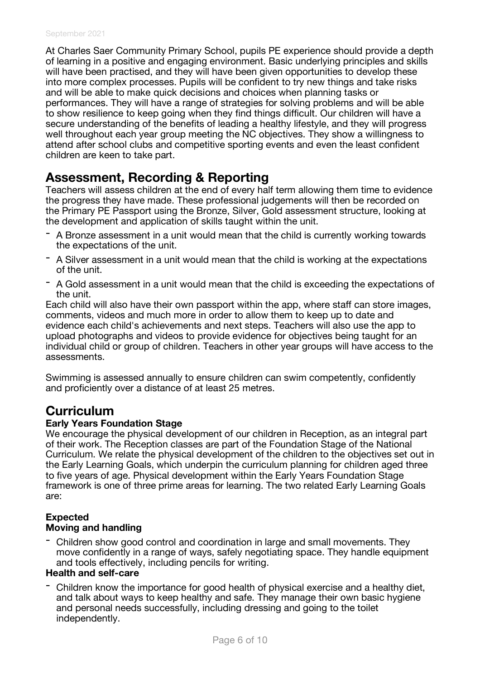At Charles Saer Community Primary School, pupils PE experience should provide a depth of learning in a positive and engaging environment. Basic underlying principles and skills will have been practised, and they will have been given opportunities to develop these into more complex processes. Pupils will be confident to try new things and take risks and will be able to make quick decisions and choices when planning tasks or performances. They will have a range of strategies for solving problems and will be able to show resilience to keep going when they find things difficult. Our children will have a secure understanding of the benefits of leading a healthy lifestyle, and they will progress well throughout each year group meeting the NC objectives. They show a willingness to attend after school clubs and competitive sporting events and even the least confident children are keen to take part.

# **Assessment, Recording & Reporting**

Teachers will assess children at the end of every half term allowing them time to evidence the progress they have made. These professional judgements will then be recorded on the Primary PE Passport using the Bronze, Silver, Gold assessment structure, looking at the development and application of skills taught within the unit.

- A Bronze assessment in a unit would mean that the child is currently working towards the expectations of the unit.
- A Silver assessment in a unit would mean that the child is working at the expectations of the unit.
- A Gold assessment in a unit would mean that the child is exceeding the expectations of the unit.

Each child will also have their own passport within the app, where staff can store images, comments, videos and much more in order to allow them to keep up to date and evidence each child's achievements and next steps. Teachers will also use the app to upload photographs and videos to provide evidence for objectives being taught for an individual child or group of children. Teachers in other year groups will have access to the assessments.

Swimming is assessed annually to ensure children can swim competently, confidently and proficiently over a distance of at least 25 metres.

## **Curriculum**

#### **Early Years Foundation Stage**

We encourage the physical development of our children in Reception, as an integral part of their work. The Reception classes are part of the Foundation Stage of the National Curriculum. We relate the physical development of the children to the objectives set out in the Early Learning Goals, which underpin the curriculum planning for children aged three to five years of age. Physical development within the Early Years Foundation Stage framework is one of three prime areas for learning. The two related Early Learning Goals are:

#### **Expected Moving and handling**

- Children show good control and coordination in large and small movements. They move confidently in a range of ways, safely negotiating space. They handle equipment and tools effectively, including pencils for writing.

#### **Health and self-care**

Children know the importance for good health of physical exercise and a healthy diet, and talk about ways to keep healthy and safe. They manage their own basic hygiene and personal needs successfully, including dressing and going to the toilet independently.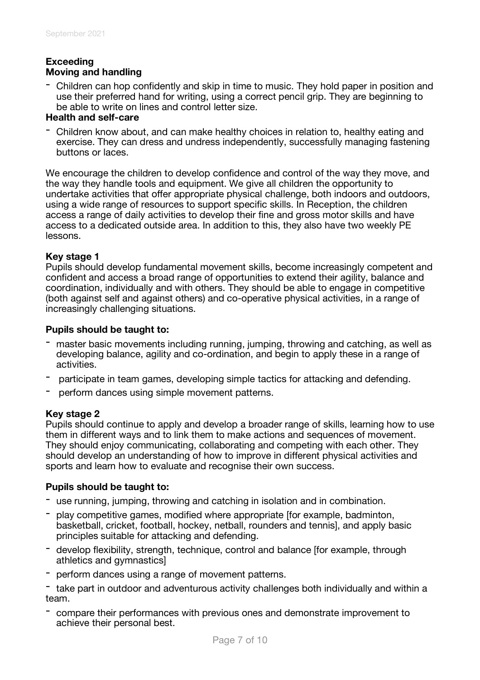#### **Exceeding Moving and handling**

- Children can hop confidently and skip in time to music. They hold paper in position and use their preferred hand for writing, using a correct pencil grip. They are beginning to be able to write on lines and control letter size.

#### **Health and self-care**

- Children know about, and can make healthy choices in relation to, healthy eating and exercise. They can dress and undress independently, successfully managing fastening buttons or laces.

We encourage the children to develop confidence and control of the way they move, and the way they handle tools and equipment. We give all children the opportunity to undertake activities that offer appropriate physical challenge, both indoors and outdoors, using a wide range of resources to support specific skills. In Reception, the children access a range of daily activities to develop their fine and gross motor skills and have access to a dedicated outside area. In addition to this, they also have two weekly PE lessons.

#### **Key stage 1**

Pupils should develop fundamental movement skills, become increasingly competent and confident and access a broad range of opportunities to extend their agility, balance and coordination, individually and with others. They should be able to engage in competitive (both against self and against others) and co-operative physical activities, in a range of increasingly challenging situations.

#### **Pupils should be taught to:**

- master basic movements including running, jumping, throwing and catching, as well as developing balance, agility and co-ordination, and begin to apply these in a range of activities.
- participate in team games, developing simple tactics for attacking and defending.
- perform dances using simple movement patterns.

#### **Key stage 2**

Pupils should continue to apply and develop a broader range of skills, learning how to use them in different ways and to link them to make actions and sequences of movement. They should enjoy communicating, collaborating and competing with each other. They should develop an understanding of how to improve in different physical activities and sports and learn how to evaluate and recognise their own success.

#### **Pupils should be taught to:**

- use running, jumping, throwing and catching in isolation and in combination.
- play competitive games, modified where appropriate [for example, badminton, basketball, cricket, football, hockey, netball, rounders and tennis], and apply basic principles suitable for attacking and defending.
- develop flexibility, strength, technique, control and balance [for example, through athletics and gymnastics]
- perform dances using a range of movement patterns.

- take part in outdoor and adventurous activity challenges both individually and within a team.

- compare their performances with previous ones and demonstrate improvement to achieve their personal best.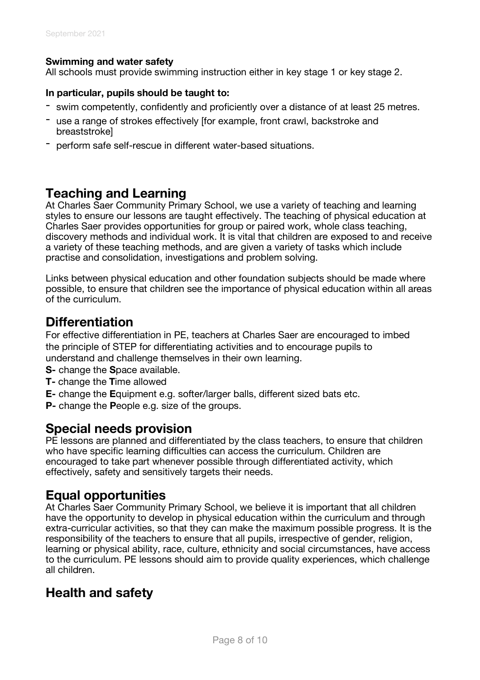#### **Swimming and water safety**

All schools must provide swimming instruction either in key stage 1 or key stage 2.

#### **In particular, pupils should be taught to:**

- swim competently, confidently and proficiently over a distance of at least 25 metres.
- use a range of strokes effectively [for example, front crawl, backstroke and breaststroke]
- perform safe self-rescue in different water-based situations.

### **Teaching and Learning**

At Charles Saer Community Primary School, we use a variety of teaching and learning styles to ensure our lessons are taught effectively. The teaching of physical education at Charles Saer provides opportunities for group or paired work, whole class teaching, discovery methods and individual work. It is vital that children are exposed to and receive a variety of these teaching methods, and are given a variety of tasks which include practise and consolidation, investigations and problem solving.

Links between physical education and other foundation subjects should be made where possible, to ensure that children see the importance of physical education within all areas of the curriculum.

## **Differentiation**

For effective differentiation in PE, teachers at Charles Saer are encouraged to imbed the principle of STEP for differentiating activities and to encourage pupils to understand and challenge themselves in their own learning.

- **S-** change the **S**pace available.
- **T-** change the **T**ime allowed
- **E-** change the **E**quipment e.g. softer/larger balls, different sized bats etc.
- **P-** change the **P**eople e.g. size of the groups.

### **Special needs provision**

PE lessons are planned and differentiated by the class teachers, to ensure that children who have specific learning difficulties can access the curriculum. Children are encouraged to take part whenever possible through differentiated activity, which effectively, safety and sensitively targets their needs.

### **Equal opportunities**

At Charles Saer Community Primary School, we believe it is important that all children have the opportunity to develop in physical education within the curriculum and through extra-curricular activities, so that they can make the maximum possible progress. It is the responsibility of the teachers to ensure that all pupils, irrespective of gender, religion, learning or physical ability, race, culture, ethnicity and social circumstances, have access to the curriculum. PE lessons should aim to provide quality experiences, which challenge all children.

## **Health and safety**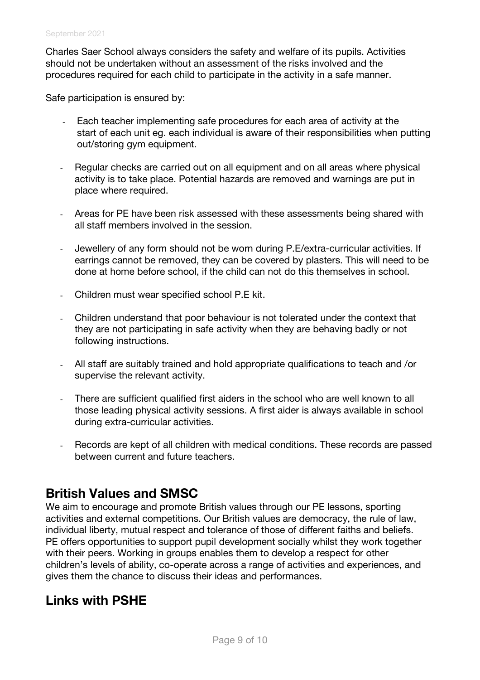Charles Saer School always considers the safety and welfare of its pupils. Activities should not be undertaken without an assessment of the risks involved and the procedures required for each child to participate in the activity in a safe manner.

Safe participation is ensured by:

- Each teacher implementing safe procedures for each area of activity at the start of each unit eg. each individual is aware of their responsibilities when putting out/storing gym equipment.
- Regular checks are carried out on all equipment and on all areas where physical activity is to take place. Potential hazards are removed and warnings are put in place where required.
- Areas for PE have been risk assessed with these assessments being shared with all staff members involved in the session.
- Jewellery of any form should not be worn during P.E/extra-curricular activities. If earrings cannot be removed, they can be covered by plasters. This will need to be done at home before school, if the child can not do this themselves in school.
- Children must wear specified school P.E kit.
- Children understand that poor behaviour is not tolerated under the context that they are not participating in safe activity when they are behaving badly or not following instructions.
- All staff are suitably trained and hold appropriate qualifications to teach and /or supervise the relevant activity.
- There are sufficient qualified first aiders in the school who are well known to all those leading physical activity sessions. A first aider is always available in school during extra-curricular activities.
- Records are kept of all children with medical conditions. These records are passed between current and future teachers.

# **British Values and SMSC**

We aim to encourage and promote British values through our PE lessons, sporting activities and external competitions. Our British values are democracy, the rule of law, individual liberty, mutual respect and tolerance of those of different faiths and beliefs. PE offers opportunities to support pupil development socially whilst they work together with their peers. Working in groups enables them to develop a respect for other children's levels of ability, co-operate across a range of activities and experiences, and gives them the chance to discuss their ideas and performances.

# **Links with PSHE**